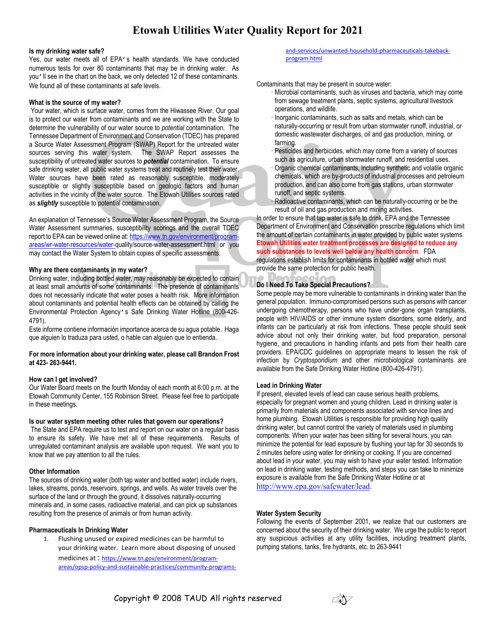# **Etowah Utilities Water Quality Report for 2021**

### **Is my drinking water safe?**

Yes, our water meets all of EPA's health standards. We have conducted numerous tests for over 80 contaminants that may be in drinking water. As you'll see in the chart on the back, we only detected 12 of these contaminants. We found all of these contaminants at safe levels.

### **What is the source of my water?**

Your water, which is surface water, comes from the Hiwassee River. Our goal is to protect our water from contaminants and we are working with the State to determine the vulnerability of our water source to *potential* contamination. The Tennessee Department of Environment and Conservation (TDEC) has prepared a Source Water Assessment Program (SWAP) Report for the untreated water sources serving this water system. The SWAP Report assesses the susceptibility of untreated water sources to *potential* contamination. To ensure safe drinking water, all public water systems treat and routinely test their water. Water sources have been rated as reasonably susceptible, moderately susceptible or slightly susceptible based on geologic factors and human activities in the vicinity of the water source. The Etowah Utilities sources rated as *slightly* susceptible to potential contamination.

An explanation of Tennessee's Source Water Assessment Program, the Source Water Assessment summaries, susceptibility scorings and the overall TDEC report to EPA can be viewed online at[: https://www.tn.gov/environment/program](https://www.tn.gov/environment/program-areas/wr-water-resources/water-)[areas/wr-water-resources/water-q](https://www.tn.gov/environment/program-areas/wr-water-resources/water-)uality/source-water-assessment.html or you may contact the Water System to obtain copies of specific assessments.

## **Why are there contaminants in my water?**

Drinking water, including bottled water, may reasonably be expected to contain at least small amounts of some contaminants. The presence of contaminants does not necessarily indicate that water poses a health risk. More information about contaminants and potential health effects can be obtained by calling the Environmental Protection Agency's Safe Drinking Water Hotline (800-426- 4791).

Este informe contiene información importance acerca de su agua potable. Haga que alguien lo traduza para usted, o hable can alguien que lo entienda.

## **For more information about your drinking water, please call Brandon Frost at 423- 263-9441.**

#### **How can I get involved?**

Our Water Board meets on the fourth Monday of each month at 6:00 p.m. at the Etowah Community Center, 155 Robinson Street. Please feel free to participate in these meetings.

#### **Is our water system meeting other rules that govern our operations?**

The State and EPA require us to test and report on our water on a regular basis to ensure its safety. We have met all of these requirements. Results of unregulated contaminant analysis are available upon request. We want you to know that we pay attention to all the rules.

### **Other Information**

The sources of drinking water (both tap water and bottled water) include rivers, lakes, streams, ponds, reservoirs, springs, and wells. As water travels over the surface of the land or through the ground, it dissolves naturally-occurring minerals and, in some cases, radioactive material, and can pick up substances resulting from the presence of animals or from human activity.

## **Pharmaceuticals In Drinking Water**

1. Flushing unused or expired medicines can be harmful to your drinking water. Learn more about disposing of unused medicines at : [https://www.tn.gov/environment/program](https://www.tn.gov/environment/program-areas/opsp-policy-and-sustainable-practices/community-programs-and-services/unwanted-household-pharmaceuticals-takeback-program.html)[areas/opsp-policy-and-sustainable-practices/community-programs-](https://www.tn.gov/environment/program-areas/opsp-policy-and-sustainable-practices/community-programs-and-services/unwanted-household-pharmaceuticals-takeback-program.html) [and-services/unwanted-household-pharmaceuticals-takeback](https://www.tn.gov/environment/program-areas/opsp-policy-and-sustainable-practices/community-programs-and-services/unwanted-household-pharmaceuticals-takeback-program.html)[program.html](https://www.tn.gov/environment/program-areas/opsp-policy-and-sustainable-practices/community-programs-and-services/unwanted-household-pharmaceuticals-takeback-program.html)

Contaminants that may be present in source water:

- · Microbial contaminants, such as viruses and bacteria, which may come from sewage treatment plants, septic systems, agricultural livestock operations, and wildlife.
- · Inorganic contaminants, such as salts and metals, which can be naturally-occurring or result from urban stormwater runoff, industrial, or domestic wastewater discharges, oil and gas production, mining, or farming.
- · Pesticides and herbicides, which may come from a variety of sources such as agriculture, urban stormwater runoff, and residential uses.
- · Organic chemical contaminants, including synthetic and volatile organic chemicals, which are by-products of industrial processes and petroleum production, and can also come from gas stations, urban stormwater runoff, and septic systems.
- Radioactive contaminants, which can be naturally-occurring or be the result of oil and gas production and mining activities.

In order to ensure that tap water is safe to drink, EPA and the Tennessee Department of Environment and Conservation prescribe regulations which limit the amount of certain contaminants in water provided by public water systems. **Etowah Utilities water treatment processes are designed to reduce any such substances to levels well below any health concern**. FDA regulations establish limits for contaminants in bottled water which must provide the same protection for public health.

## **Do I Need To Take Special Precautions?**

Some people may be more vulnerable to contaminants in drinking water than the general population. Immuno-compromised persons such as persons with cancer undergoing chemotherapy, persons who have under-gone organ transplants, people with HIV/AIDS or other immune system disorders, some elderly, and infants can be particularly at risk from infections. These people should seek advice about not only their drinking water, but food preparation, personal hygiene, and precautions in handling infants and pets from their health care providers. EPA/CDC guidelines on appropriate means to lessen the risk of infection by *Cryptosporidium* and other microbiological contaminants are available from the Safe Drinking Water Hotline (800-426-4791).

## **Lead in Drinking Water**

If present, elevated levels of lead can cause serious health problems, especially for pregnant women and young children. Lead in drinking water is primarily from materials and components associated with service lines and home plumbing. Etowah Utilities is responsible for providing high quality drinking water, but cannot control the variety of materials used in plumbing components. When your water has been sitting for several hours, you can minimize the potential for lead exposure by flushing your tap for 30 seconds to 2 minutes before using water for drinking or cooking. If you are concerned about lead in your water, you may wish to have your water tested. Information on lead in drinking water, testing methods, and steps you can take to minimize exposure is available from the Safe Drinking Water Hotline or at [http://www.epa.gov/safewater/lead.](http://www.epa.gov/safewater/lead)

## **Water System Security**

Following the events of September 2001, we realize that our customers are concerned about the security of their drinking water. We urge the public to report any suspicious activities at any utility facilities, including treatment plants, pumping stations, tanks, fire hydrants, etc. to 263-9441

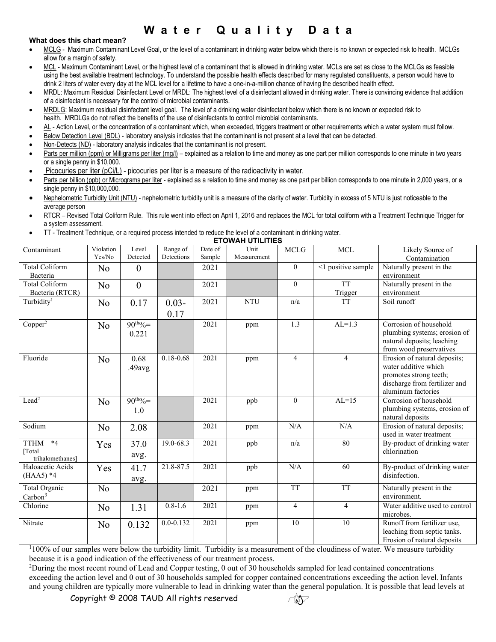# **W a t e r Q u a l i t y D a t a**

## **What does this chart mean?**

- MCLG Maximum Contaminant Level Goal, or the level of a contaminant in drinking water below which there is no known or expected risk to health. MCLGs allow for a margin of safety.
- MCL Maximum Contaminant Level, or the highest level of a contaminant that is allowed in drinking water. MCLs are set as close to the MCLGs as feasible using the best available treatment technology. To understand the possible health effects described for many regulated constituents, a person would have to drink 2 liters of water every day at the MCL level for a lifetime to have a one-in-a-million chance of having the described health effect.
- MRDL: Maximum Residual Disinfectant Level or MRDL: The highest level of a disinfectant allowed in drinking water. There is convincing evidence that addition of a disinfectant is necessary for the control of microbial contaminants.
- MRDLG: Maximum residual disinfectant level goal. The level of a drinking water disinfectant below which there is no known or expected risk to health. MRDLGs do not reflect the benefits of the use of disinfectants to control microbial contaminants.
- AL Action Level, or the concentration of a contaminant which, when exceeded, triggers treatment or other requirements which a water system must follow.
- Below Detection Level (BDL) laboratory analysis indicates that the contaminant is not present at a level that can be detected.
- Non-Detects (ND) laboratory analysis indicates that the contaminant is not present.
- Parts per million (ppm) or Milligrams per liter (mg/l) explained as a relation to time and money as one part per million corresponds to one minute in two years or a single penny in \$10,000.
- Picocuries per liter (pCi/L) picocuries per liter is a measure of the radioactivity in water.
- Parts per billion (ppb) or Micrograms per liter explained as a relation to time and money as one part per billion corresponds to one minute in 2,000 years, or a single penny in \$10,000,000.
- Nephelometric Turbidity Unit (NTU) nephelometric turbidity unit is a measure of the clarity of water. Turbidity in excess of 5 NTU is just noticeable to the average person
- RTCR Revised Total Coliform Rule. This rule went into effect on April 1, 2016 and replaces the MCL for total coliform with a Treatment Technique Trigger for a system assessment.
- TT Treatment Technique, or a required process intended to reduce the level of a contaminant in drinking water.

| <b>ETOWAH UTILITIES</b>                                 |                     |                        |                        |                   |                     |                |                      |                                                                                                                                       |  |
|---------------------------------------------------------|---------------------|------------------------|------------------------|-------------------|---------------------|----------------|----------------------|---------------------------------------------------------------------------------------------------------------------------------------|--|
| $\overline{\text{Continant}}$                           | Violation<br>Yes/No | Level<br>Detected      | Range of<br>Detections | Date of<br>Sample | Unit<br>Measurement | <b>MCLG</b>    | <b>MCL</b>           | Likely Source of<br>Contamination                                                                                                     |  |
| <b>Total Coliform</b><br>Bacteria                       | N <sub>0</sub>      | $\theta$               |                        | 2021              |                     | $\theta$       | <1 positive sample   | Naturally present in the<br>environment                                                                                               |  |
| <b>Total Coliform</b><br>Bacteria (RTCR)                | N <sub>0</sub>      | $\boldsymbol{0}$       |                        | 2021              |                     | $\theta$       | <b>TT</b><br>Trigger | Naturally present in the<br>environment                                                                                               |  |
| Turbidity <sup>1</sup>                                  | N <sub>o</sub>      | 0.17                   | $0.03 -$<br>0.17       | 2021              | <b>NTU</b>          | n/a            | <b>TT</b>            | Soil runoff                                                                                                                           |  |
| $Copper^2$                                              | N <sub>0</sub>      | $90^{th}\% =$<br>0.221 |                        | 2021              | ppm                 | 1.3            | $AL=1.3$             | Corrosion of household<br>plumbing systems; erosion of<br>natural deposits; leaching<br>from wood preservatives                       |  |
| Fluoride                                                | N <sub>o</sub>      | 0.68<br>.49avg         | $0.18 - 0.68$          | 2021              | ppm                 | $\overline{4}$ | $\overline{4}$       | Erosion of natural deposits;<br>water additive which<br>promotes strong teeth;<br>discharge from fertilizer and<br>aluminum factories |  |
| Lead <sup>2</sup>                                       | N <sub>0</sub>      | $90^{th}\% =$<br>1.0   |                        | 2021              | ppb                 | $\Omega$       | $AL=15$              | Corrosion of household<br>plumbing systems, erosion of<br>natural deposits                                                            |  |
| Sodium                                                  | N <sub>0</sub>      | 2.08                   |                        | 2021              | ppm                 | N/A            | N/A                  | Erosion of natural deposits;<br>used in water treatment                                                                               |  |
| <b>TTHM</b><br>$*4$<br><b>Total</b><br>trihalomethanes] | Yes                 | 37.0<br>avg.           | 19.0-68.3              | 2021              | ppb                 | n/a            | 80                   | By-product of drinking water<br>chlorination                                                                                          |  |
| Haloacetic Acids<br>$(HAA5)*4$                          | Yes                 | 41.7<br>avg.           | 21.8-87.5              | 2021              | ppb                 | N/A            | 60                   | By-product of drinking water<br>disinfection.                                                                                         |  |
| Total Organic<br>Carbon <sup>3</sup>                    | N <sub>0</sub>      |                        |                        | 2021              | ppm                 | <b>TT</b>      | <b>TT</b>            | Naturally present in the<br>environment.                                                                                              |  |
| Chlorine                                                | N <sub>0</sub>      | 1.31                   | $0.8 - 1.6$            | 2021              | ppm                 | $\overline{4}$ | $\overline{4}$       | Water additive used to control<br>microbes.                                                                                           |  |
| Nitrate                                                 | N <sub>0</sub>      | 0.132                  | $0.0 - 0.132$          | 2021              | ppm                 | 10             | $\overline{10}$      | Runoff from fertilizer use,<br>leaching from septic tanks.<br>Erosion of natural deposits                                             |  |

<sup>1</sup> 100% of our samples were below the turbidity limit. Turbidity is a measurement of the cloudiness of water. We measure turbidity because it is a good indication of the effectiveness of our treatment process.

<sup>2</sup>During the most recent round of Lead and Copper testing, 0 out of 30 households sampled for lead contained concentrations exceeding the action level and 0 out of 30 households sampled for copper contained concentrations exceeding the action level. Infants and young children are typically more vulnerable to lead in drinking water than the general population. It is possible that lead levels at

Copyright © 2008 TAUD All rights reserved

℺Ω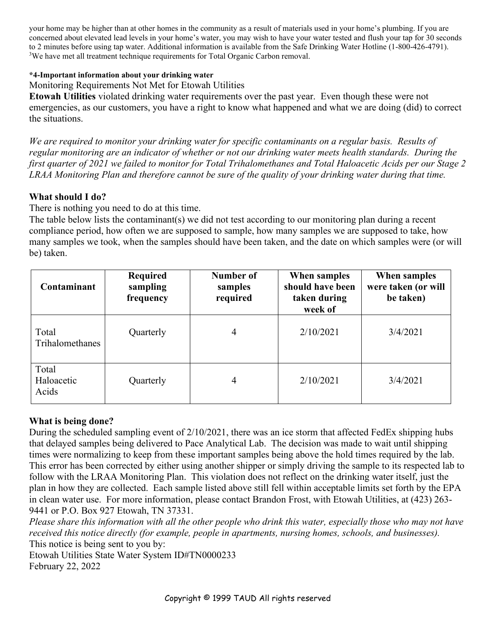your home may be higher than at other homes in the community as a result of materials used in your home's plumbing. If you are concerned about elevated lead levels in your home's water, you may wish to have your water tested and flush your tap for 30 seconds to 2 minutes before using tap water. Additional information is available from the Safe Drinking Water Hotline (1-800-426-4791). <sup>3</sup>We have met all treatment technique requirements for Total Organic Carbon removal.

## **\*4-Important information about your drinking water**

Monitoring Requirements Not Met for Etowah Utilities

**Etowah Utilities** violated drinking water requirements over the past year. Even though these were not emergencies, as our customers, you have a right to know what happened and what we are doing (did) to correct the situations.

*We are required to monitor your drinking water for specific contaminants on a regular basis. Results of regular monitoring are an indicator of whether or not our drinking water meets health standards. During the first quarter of 2021 we failed to monitor for Total Trihalomethanes and Total Haloacetic Acids per our Stage 2 LRAA Monitoring Plan and therefore cannot be sure of the quality of your drinking water during that time.* 

# **What should I do?**

There is nothing you need to do at this time.

The table below lists the contaminant(s) we did not test according to our monitoring plan during a recent compliance period, how often we are supposed to sample, how many samples we are supposed to take, how many samples we took, when the samples should have been taken, and the date on which samples were (or will be) taken.

| Contaminant                  | <b>Required</b><br>sampling<br>frequency | Number of<br>samples<br>required | When samples<br>should have been<br>taken during<br>week of | When samples<br>were taken (or will<br>be taken) |
|------------------------------|------------------------------------------|----------------------------------|-------------------------------------------------------------|--------------------------------------------------|
| Total<br>Trihalomethanes     | Quarterly                                | 4                                | 2/10/2021                                                   | 3/4/2021                                         |
| Total<br>Haloacetic<br>Acids | Quarterly                                | 4                                | 2/10/2021                                                   | 3/4/2021                                         |

## **What is being done?**

During the scheduled sampling event of 2/10/2021, there was an ice storm that affected FedEx shipping hubs that delayed samples being delivered to Pace Analytical Lab. The decision was made to wait until shipping times were normalizing to keep from these important samples being above the hold times required by the lab. This error has been corrected by either using another shipper or simply driving the sample to its respected lab to follow with the LRAA Monitoring Plan. This violation does not reflect on the drinking water itself, just the plan in how they are collected. Each sample listed above still fell within acceptable limits set forth by the EPA in clean water use. For more information, please contact Brandon Frost, with Etowah Utilities, at (423) 263- 9441 or P.O. Box 927 Etowah, TN 37331.

*Please share this information with all the other people who drink this water, especially those who may not have received this notice directly (for example, people in apartments, nursing homes, schools, and businesses).* This notice is being sent to you by:

Etowah Utilities State Water System ID#TN0000233 February 22, 2022